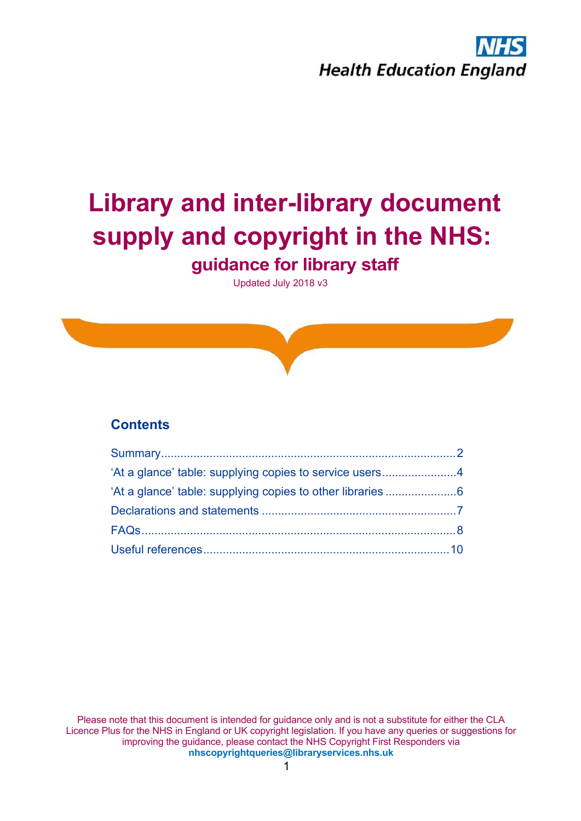| #                    |  | 888888888888888888888888888888888888 |  |  |  |  |  |  |  |  |  |  |  |  |  |  |  |                                |  |
|----------------------|--|--------------------------------------|--|--|--|--|--|--|--|--|--|--|--|--|--|--|--|--------------------------------|--|
| $\mathbf{r}$         |  |                                      |  |  |  |  |  |  |  |  |  |  |  |  |  |  |  | 8 & 8 & 8 & 8 /8 & 8 & 8 & 8 & |  |
|                      |  |                                      |  |  |  |  |  |  |  |  |  |  |  |  |  |  |  |                                |  |
| $\blacktriangleleft$ |  |                                      |  |  |  |  |  |  |  |  |  |  |  |  |  |  |  |                                |  |
|                      |  |                                      |  |  |  |  |  |  |  |  |  |  |  |  |  |  |  |                                |  |
|                      |  |                                      |  |  |  |  |  |  |  |  |  |  |  |  |  |  |  |                                |  |

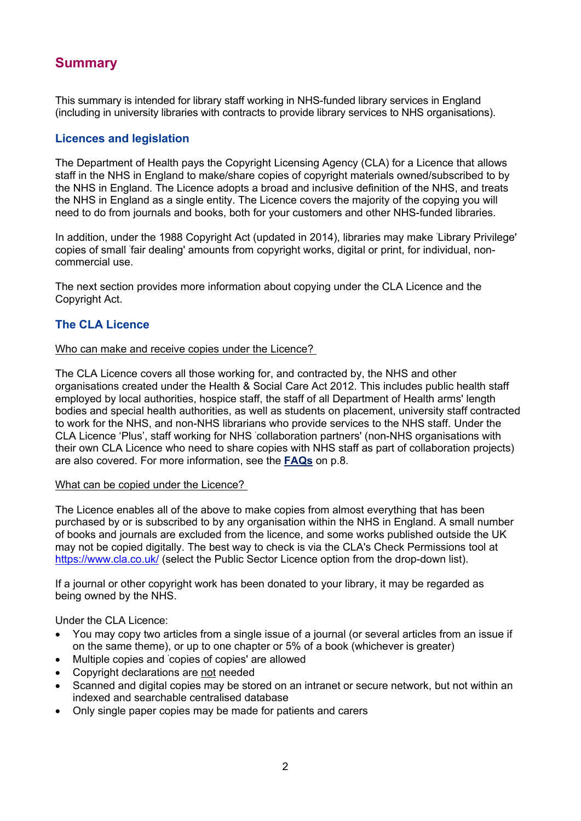<span id="page-1-0"></span>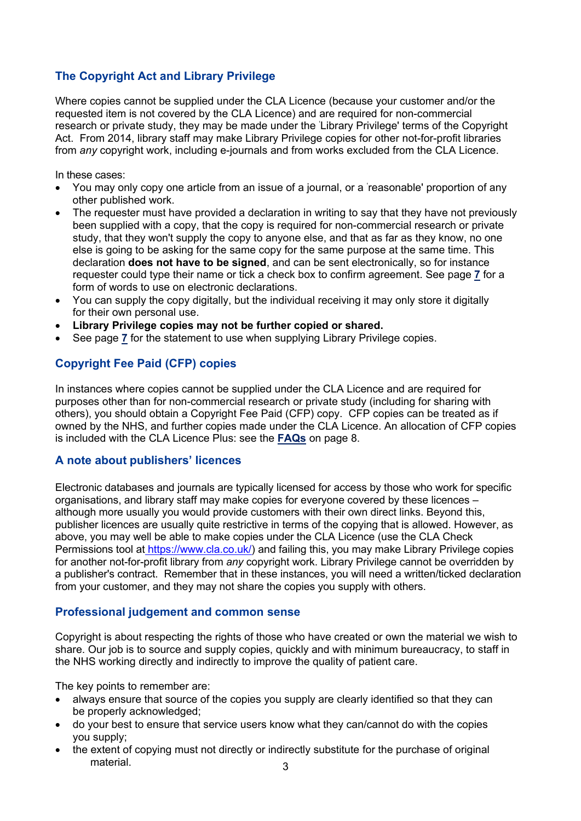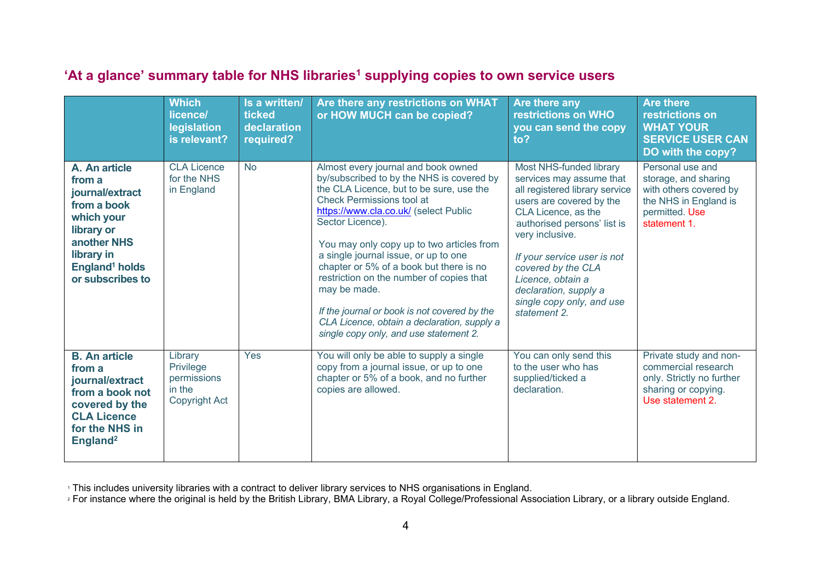$\mathcal{L}(\mathcal{L})$  and the contract of the contract of the contract of the contract of the contract of the contract of the contract of the contract of the contract of the contract of the contract of the contract of the contra  $\pm$  100  $\pm$ 

|                                                           | $\overline{0}$                      | $\overline{0}$ | 2.34!<br>$\overline{0}$                                                                                                                                                                     | $\therefore$ 2<br>$\theta$                                                        | $\therefore$ $\degree$ 5246<br>76817476!<br>$92 -$<br>$\overline{0}$ |
|-----------------------------------------------------------|-------------------------------------|----------------|---------------------------------------------------------------------------------------------------------------------------------------------------------------------------------------------|-----------------------------------------------------------------------------------|----------------------------------------------------------------------|
| $/$ :<br>$\star$<br>$\overline{7}$<br>$\alpha$            | $!$ "#<br>$\boldsymbol{\mathsf{S}}$ |                | 6 5<br>$\ddot{z}$<br>$\mathop{!}\nolimits$ " $\#$<br>÷<br>6<br>$.1:5558$ & 8 & 6:<br>$\overline{\#}$<br>9 &<br>$\sf B$<br>$5\phantom{.0}$<br>÷.<br>$\overline{6}$<br>C <sub>D</sub><br>$\&$ | $\overline{\mathsf{E}}$<br>$\frac{1}{2}$ #7<br>$\sim$<br>$\boldsymbol{\alpha}$    | $\overline{5}$<br>$!$ " #<br>$\sqrt{3}$<br>$\alpha$<br>$\pmb{8}$     |
| $\ddot{ }$<br>$/$ :<br>$\star$<br>$\overline{7}$<br>$\,<$ |                                     | $\,$ B         | $\overline{B}$<br>$\overline{5}$<br>$C\overrightarrow{D}$<br>6)<br>$\overline{5}$<br>$\boldsymbol{\alpha}$                                                                                  | $\overline{B}$<br>$\overline{5}$<br>$6\phantom{1}6$<br>÷<br>$\boldsymbol{\alpha}$ | & $#$<br>$\boldsymbol{\alpha}$<br>$\pmb{8}$                          |

<span id="page-3-0"></span>

|  |      |         | $\mathcal{L}$ | $\sim$ |                                                     |         |
|--|------|---------|---------------|--------|-----------------------------------------------------|---------|
|  | HH E | $1 + 1$ |               |        | $\mathfrak{g}$ and $\mathfrak{g}$<br>$\overline{1}$ | $\circ$ |

 $\overline{1}$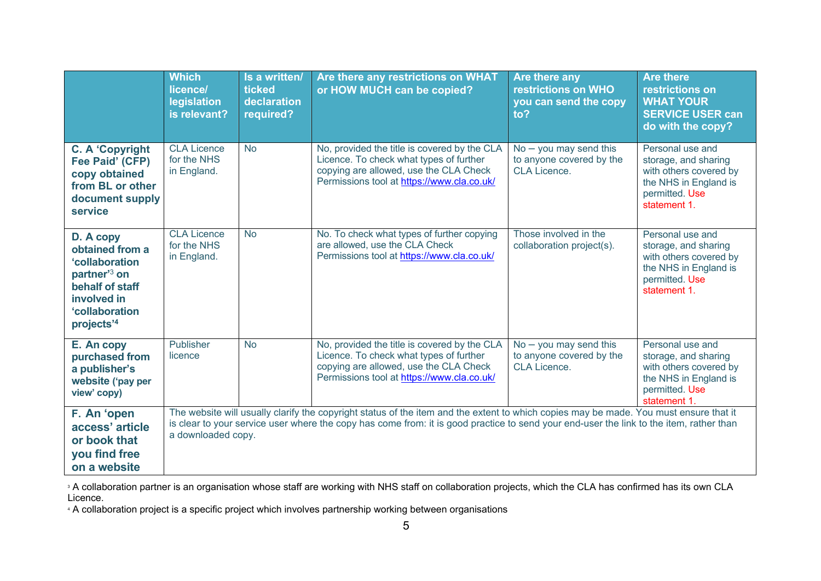|                                                      | $\mathcal{A}^{\mathcal{A}}$<br>$\overline{\phantom{a}}$<br>$\overline{0}$ | $\vert$ 1<br>$\sim$<br>$\overline{0}$                     | 2.34!                                                                         | $\overline{0}$                                          | $\therefore$ 2<br>$\overline{0}$                 | $\frac{1}{2}$ . $\frac{1}{2}$ 5246<br>76817476<br>$\overline{0}$<br>$\sim$                                   |
|------------------------------------------------------|---------------------------------------------------------------------------|-----------------------------------------------------------|-------------------------------------------------------------------------------|---------------------------------------------------------|--------------------------------------------------|--------------------------------------------------------------------------------------------------------------|
| $+!$<br>-1<br>#<br>$\%$<br>$')$ # % (<br>$\ddot{ }$  | $!$ "#<br>$\$\$<br>$\&$                                                   | -1                                                        | $\left( \begin{array}{c} 1 \\ 1 \end{array} \right)$<br>65<br>84<br>5)        | $6\phantom{1}6$<br>$1:5558$ &                           | $\overline{\phantom{a}1\phantom{a}}$<br>$\alpha$ | $\lambda$<br>5<br>$!$ "#<br>$\boldsymbol{\mathsf{S}}$<br>$\boldsymbol{\alpha}$<br>$\pmb{8}$                  |
| 9<br>$\ddot{}$<br>$\pm$<br>$\star$<br>$\overline{r}$ | $!$ "#<br>\$<br>$\boldsymbol{\alpha}$                                     | -1                                                        | 84<br>65<br>-11<br>5<br>$\lambda$                                             | $\,6$<br>: 5558<br>$\mathbf{g}$                         | $\overline{4}$<br>8<br>$\ddot{ }$                | $\overline{5}$<br>$\mathop{!}\nolimits$ " $\#$<br>$\boldsymbol{\mathsf{S}}$<br>$\&$<br>$\boldsymbol{\delta}$ |
| $\overline{7}$<br>۰.<br>$\sim$<br>$-$ )              |                                                                           | Τ.                                                        | $\left\lfloor \quad \right\rfloor$<br>65<br>84<br>5)                          | $6\phantom{1}6$<br>$.1:5558$ &                          | G<br>T<br>$\&$                                   | $\overline{5}$<br>$\frac{1}{2}$ $\frac{1}{2}$ $\frac{1}{2}$<br>$\frac{1}{2}$<br>$\&$<br>&                    |
| #<br>$\ddot{}$<br>$\sim$                             | $\overline{4}$<br>$\overline{5}$<br>5                                     | $\overline{5}$<br>$\overline{5}$<br>$\boldsymbol{\alpha}$ |                                                                               | $\geq$<br>$\mathcal{A}^{\mathcal{A}}_{\mathcal{A}}$ and | $5\overline{)}$<br>$\overline{7}$                | & B<br>$\boldsymbol{6}$                                                                                      |
| $\pmb{8}$<br>$\mathcal{F}$                           | $\ddot{\phantom{1}}$                                                      | $\sqrt{5}$<br>$\sqrt{5}$<br>$\ddot{ }$                    | $5\quad 6\quad 5$<br>$\frac{1}{2}$ " #<br>$5\overline{)}$<br>6<br>$\mathbf C$ | $5\phantom{.0}$                                         | $\left) 5$<br>$\frac{1}{2}$ .                    | $\sqrt{5}$                                                                                                   |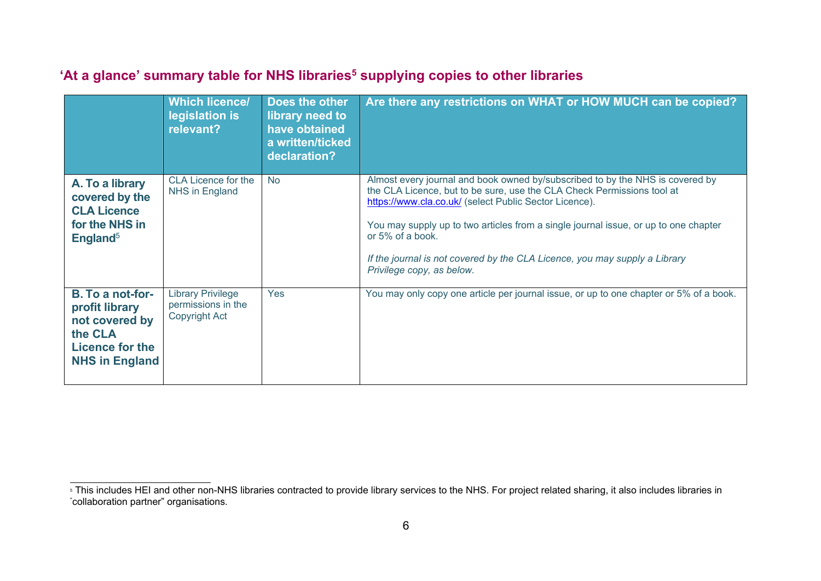|                             | У.                         | 9              |                                                                                             | $\begin{bmatrix} 1 & 1 \\ 1 & 1 \end{bmatrix}$ $\begin{bmatrix} 2 & 34 \end{bmatrix}$ | $\overline{0}$ |
|-----------------------------|----------------------------|----------------|---------------------------------------------------------------------------------------------|---------------------------------------------------------------------------------------|----------------|
|                             | $\overline{0}$             | $\overline{0}$ |                                                                                             |                                                                                       |                |
| $\mathbf{H}$ .              | $\pm$ "#<br>$$\mathbb{S}$$ |                | $6\overline{6}$<br>$5\overline{5}$<br>$\overline{1}$<br>$\frac{1.15558}{88}$<br>86:<br>$\#$ | $\frac{1}{2}$ #<br>÷<br>$\boldsymbol{6}$<br>9 &                                       |                |
| ${\bf C}$<br>$\overline{7}$ |                            |                | $\overline{B}$<br>5<br>6 &<br>C <sub>D</sub>                                                | ÷                                                                                     |                |
| $\Delta \phi = 0.01$        |                            | $\mathsf B$    | $\mathsf B$                                                                                 | CD                                                                                    | 6 &            |
| $\overline{1}$              |                            |                | $\mathcal{A}^{\text{max}}$                                                                  |                                                                                       |                |
| $\overline{7}$              |                            |                |                                                                                             |                                                                                       |                |

 $\label{eq:2.1} \begin{array}{l} \mathcal{L}_{\mathcal{A}}(\mathcal{A})=\mathcal{L}_{\mathcal{A}}(\mathcal{A})\otimes\mathcal{L}_{\mathcal{A}}(\mathcal{A}) \end{array}$ 

<span id="page-5-0"></span> $\begin{array}{c|c}\n \cdot \text{S} & \text{7!} \text{#} \\
\hline\n & \text{K} & \text{8}\n \end{array}$  $\frac{1}{1}$ 

 $\overline{\phantom{a}}$ 

 $\pm$  .

 $\frac{1}{2}$  # 8. \* ;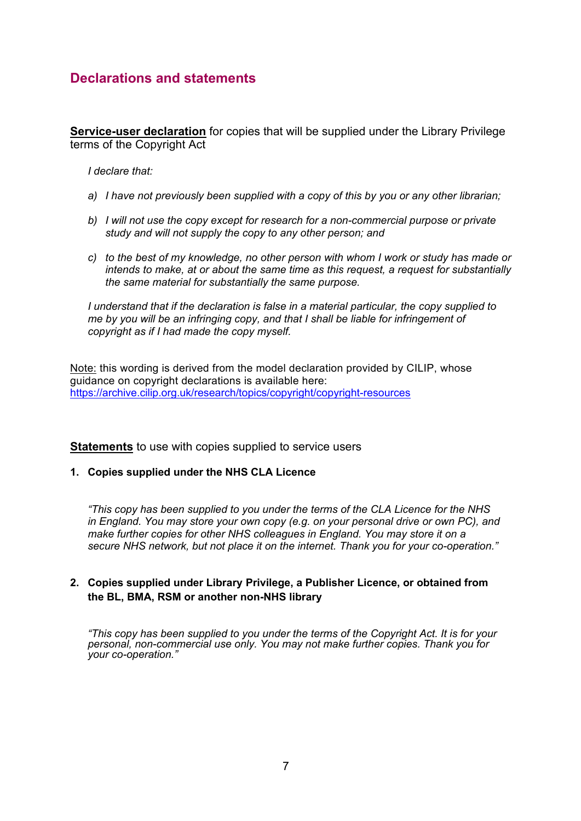<span id="page-6-0"></span>







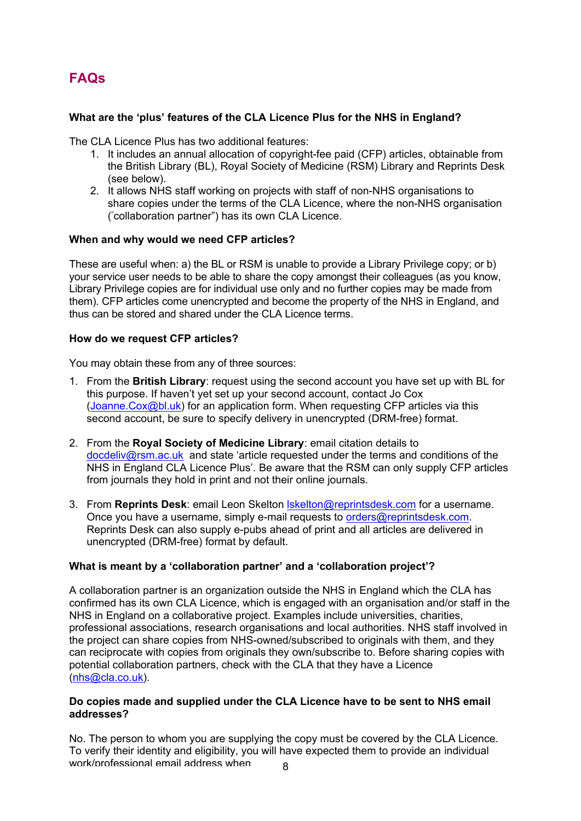<span id="page-7-0"></span> $# S$ 



 $\mathbf{1}$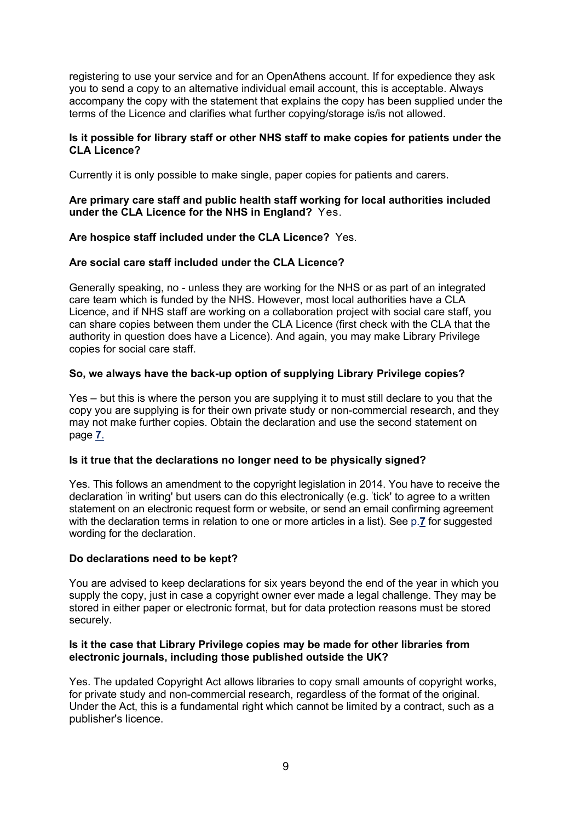registering to use your service and for an OpenAthens account. If for expedience they ask you to send a copy to an alternative individual email account, this is acceptable. Always accompany the copy with the statement that explains the copy has been supplied under the terms of the Licence and clarifies what further copying/storage is/is not allowed.

## **Is it possible for library staff or other NHS staff to make copies for patients under the CLA Licence?**

Currently it is only possible to make single, paper copies for patients and carers.

## **Are primary care staff and public health staff working for local authorities included under the CLA Licence for the NHS in England?** Yes.

# **Are hospice staff included under the CLA Licence?** Yes.

## **Are social care staff included under the CLA Licence?**

Generally speaking, no - unless they are working for the NHS or as part of an integrated care team which is funded by the NHS. However, most local authorities have a CLA Licence, and if NHS staff are working on a collaboration project with social care staff, you can share copies between them under the CLA Licence (first check with the CLA that the authority in question does have a Licence). And again, you may make Library Privilege copies for social care staff.

# **So, we always have the back-up option of supplying Library Privilege copies?**

Yes – but this is where the person you are supplying it to must still declare to you that the copy you are supplying is for their own private study or non-commercial research, and they may not make further copies. Obtain the declaration and use the second statement on page **7**.

## **Is it true that the declarations no longer need to be physically signed?**

Yes. This follows an amendment to the copyright legislation in 2014. You have to receive the declaration 'in writing' but users can do this electronically (e.g. 'tick' to agree to a written statement on an electronic request form or website, or send an email confirming agreement with the declaration terms in relation to one or more articles in a list). See p.**7** for suggested wording for the declaration.

## **Do declarations need to be kept?**

You are advised to keep declarations for six years beyond the end of the year in which you supply the copy, just in case a copyright owner ever made a legal challenge. They may be stored in either paper or electronic format, but for data protection reasons must be stored securely.

### **Is it the case that Library Privilege copies may be made for other libraries from electronic journals, including those published outside the UK?**

Yes. The updated Copyright Act allows libraries to copy small amounts of copyright works, for private study and non-commercial research, regardless of the format of the original. Under the Act, this is a fundamental right which cannot be limited by a contract, such as a publisher's licence.